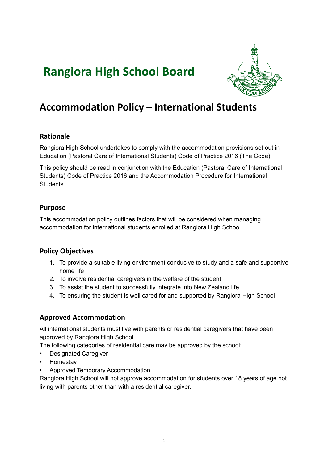# **Rangiora High School Board**



# **Accommodation Policy – International Students**

#### **Rationale**

Rangiora High School undertakes to comply with the accommodation provisions set out in Education (Pastoral Care of International Students) Code of Practice 2016 (The Code).

This policy should be read in conjunction with the Education (Pastoral Care of International Students) Code of Practice 2016 and the Accommodation Procedure for International Students.

### **Purpose**

This accommodation policy outlines factors that will be considered when managing accommodation for international students enrolled at Rangiora High School.

# **Policy Objectives**

- 1. To provide a suitable living environment conducive to study and a safe and supportive home life
- 2. To involve residential caregivers in the welfare of the student
- 3. To assist the student to successfully integrate into New Zealand life
- 4. To ensuring the student is well cared for and supported by Rangiora High School

# **Approved Accommodation**

All international students must live with parents or residential caregivers that have been approved by Rangiora High School.

The following categories of residential care may be approved by the school:

- Designated Caregiver
- Homestay
- Approved Temporary Accommodation

Rangiora High School will not approve accommodation for students over 18 years of age not living with parents other than with a residential caregiver.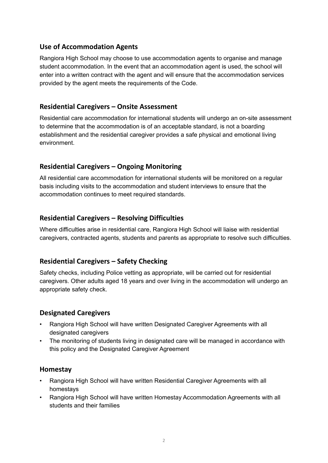#### **Use of Accommodation Agents**

Rangiora High School may choose to use accommodation agents to organise and manage student accommodation. In the event that an accommodation agent is used, the school will enter into a written contract with the agent and will ensure that the accommodation services provided by the agent meets the requirements of the Code.

### **Residential Caregivers – Onsite Assessment**

Residential care accommodation for international students will undergo an on-site assessment to determine that the accommodation is of an acceptable standard, is not a boarding establishment and the residential caregiver provides a safe physical and emotional living environment.

# **Residential Caregivers – Ongoing Monitoring**

All residential care accommodation for international students will be monitored on a regular basis including visits to the accommodation and student interviews to ensure that the accommodation continues to meet required standards.

# **Residential Caregivers – Resolving Difficulties**

Where difficulties arise in residential care, Rangiora High School will liaise with residential caregivers, contracted agents, students and parents as appropriate to resolve such difficulties.

# **Residential Caregivers – Safety Checking**

Safety checks, including Police vetting as appropriate, will be carried out for residential caregivers. Other adults aged 18 years and over living in the accommodation will undergo an appropriate safety check.

#### **Designated Caregivers**

- Rangiora High School will have written Designated Caregiver Agreements with all designated caregivers
- The monitoring of students living in designated care will be managed in accordance with this policy and the Designated Caregiver Agreement

#### **Homestay**

- Rangiora High School will have written Residential Caregiver Agreements with all homestays
- Rangiora High School will have written Homestay Accommodation Agreements with all students and their families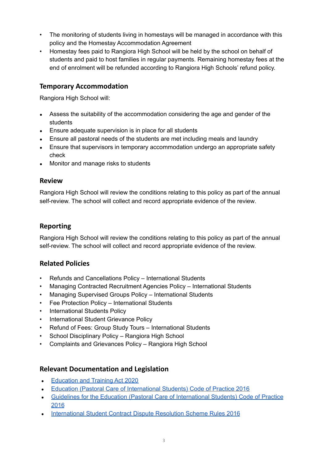- The monitoring of students living in homestays will be managed in accordance with this policy and the Homestay Accommodation Agreement
- Homestay fees paid to Rangiora High School will be held by the school on behalf of students and paid to host families in regular payments. Remaining homestay fees at the end of enrolment will be refunded according to Rangiora High Schools' refund policy.

# **Temporary Accommodation**

Rangiora High School will:

- Assess the suitability of the accommodation considering the age and gender of the students
- Ensure adequate supervision is in place for all students
- Ensure all pastoral needs of the students are met including meals and laundry
- Ensure that supervisors in temporary accommodation undergo an appropriate safety check
- **●** Monitor and manage risks to students

#### **Review**

Rangiora High School will review the conditions relating to this policy as part of the annual self-review. The school will collect and record appropriate evidence of the review.

### **Reporting**

Rangiora High School will review the conditions relating to this policy as part of the annual self-review. The school will collect and record appropriate evidence of the review.

#### **Related Policies**

- Refunds and Cancellations Policy International Students
- Managing Contracted Recruitment Agencies Policy International Students
- Managing Supervised Groups Policy International Students
- Fee Protection Policy International Students
- International Students Policy
- International Student Grievance Policy
- Refund of Fees: Group Study Tours International Students
- School Disciplinary Policy Rangiora High School
- Complaints and Grievances Policy Rangiora High School

#### **Relevant Documentation and Legislation**

- [Education](https://www.legislation.govt.nz/act/public/2020/0038/latest/LMS170676.html) and Training Act 2020
- Education (Pastoral Care of [International](http://www.legislation.govt.nz/regulation/public/2016/0057/latest/DLM6748147.html) Students) Code of Practice 2016
- Guidelines for the Education (Pastoral Care of [International](https://www.nzqa.govt.nz/assets/Providers-and-partners/Code-of-Practice/guidelines-code-of-practice-2019.pdf) Students) Code of Practice [2016](https://www.nzqa.govt.nz/assets/Providers-and-partners/Code-of-Practice/guidelines-code-of-practice-2019.pdf)
- [International](http://legislation.govt.nz/regulation/public/2016/0042/latest/whole.html#DLM6748772) Student Contract Dispute Resolution Scheme Rules 2016